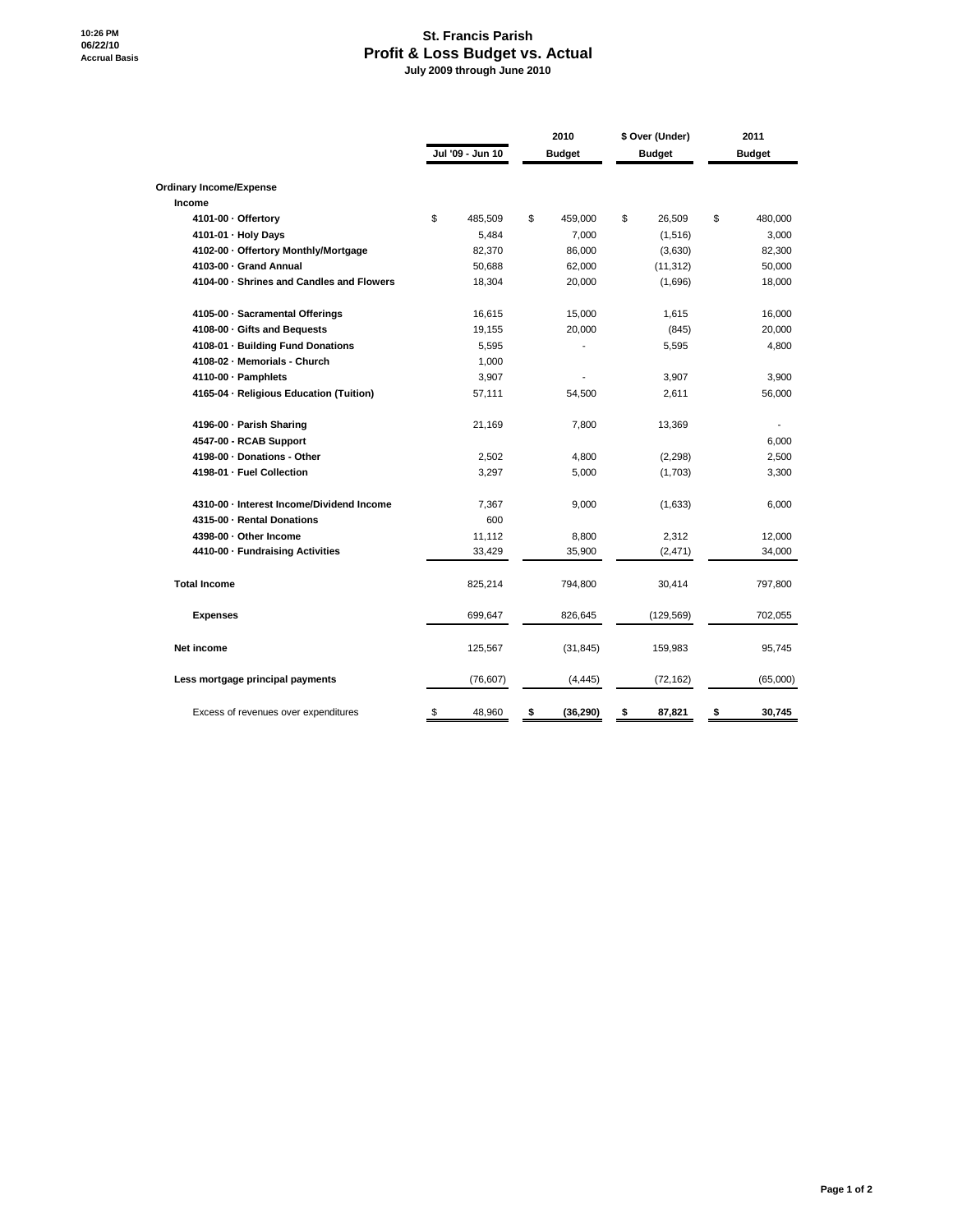## **St. Francis Parish Profit & Loss Budget vs. Actual July 2009 through June 2010**

|                                           |    |                  | 2010 |               | \$ Over (Under) |            | 2011          |          |
|-------------------------------------------|----|------------------|------|---------------|-----------------|------------|---------------|----------|
|                                           |    | Jul '09 - Jun 10 |      | <b>Budget</b> | <b>Budget</b>   |            | <b>Budget</b> |          |
| <b>Ordinary Income/Expense</b>            |    |                  |      |               |                 |            |               |          |
| Income                                    |    |                  |      |               |                 |            |               |          |
| 4101-00 · Offertory                       | \$ | 485,509          | \$   | 459,000       | \$              | 26,509     | \$            | 480,000  |
| 4101-01 - Holy Days                       |    | 5,484            |      | 7,000         |                 | (1, 516)   |               | 3,000    |
| 4102-00 · Offertory Monthly/Mortgage      |    | 82,370           |      | 86,000        |                 | (3,630)    |               | 82,300   |
| 4103-00 - Grand Annual                    |    | 50,688           |      | 62,000        |                 | (11, 312)  |               | 50,000   |
| 4104-00 · Shrines and Candles and Flowers |    | 18,304           |      | 20,000        |                 | (1,696)    |               | 18,000   |
| 4105-00 · Sacramental Offerings           |    | 16,615           |      | 15,000        |                 | 1,615      |               | 16,000   |
| 4108-00 · Gifts and Bequests              |    | 19,155           |      | 20,000        |                 | (845)      |               | 20,000   |
| 4108-01 · Building Fund Donations         |    | 5,595            |      |               |                 | 5,595      |               | 4,800    |
| 4108-02 - Memorials - Church              |    | 1,000            |      |               |                 |            |               |          |
| 4110-00 · Pamphlets                       |    | 3,907            |      |               |                 | 3,907      |               | 3,900    |
| 4165-04 - Religious Education (Tuition)   |    | 57,111           |      | 54,500        |                 | 2,611      |               | 56,000   |
| 4196-00 · Parish Sharing                  |    | 21,169           |      | 7,800         |                 | 13,369     |               |          |
| 4547-00 - RCAB Support                    |    |                  |      |               |                 |            |               | 6,000    |
| 4198-00 · Donations - Other               |    | 2,502            |      | 4,800         |                 | (2, 298)   |               | 2,500    |
| 4198-01 - Fuel Collection                 |    | 3,297            |      | 5,000         |                 | (1,703)    |               | 3,300    |
| 4310-00 · Interest Income/Dividend Income |    | 7,367            |      | 9,000         |                 | (1,633)    |               | 6,000    |
| 4315-00 - Rental Donations                |    | 600              |      |               |                 |            |               |          |
| 4398-00 - Other Income                    |    | 11,112           |      | 8,800         |                 | 2,312      |               | 12,000   |
| 4410-00 - Fundraising Activities          |    | 33,429           |      | 35,900        |                 | (2, 471)   |               | 34,000   |
| <b>Total Income</b>                       |    | 825,214          |      | 794,800       |                 | 30,414     |               | 797,800  |
| <b>Expenses</b>                           |    | 699,647          |      | 826,645       |                 | (129, 569) |               | 702,055  |
| Net income                                |    | 125,567          |      | (31, 845)     |                 | 159,983    |               | 95,745   |
| Less mortgage principal payments          |    | (76, 607)        |      | (4, 445)      |                 | (72,162)   |               | (65,000) |
| Excess of revenues over expenditures      | \$ | 48,960           | \$   | (36, 290)     | \$              | 87,821     | \$            | 30,745   |